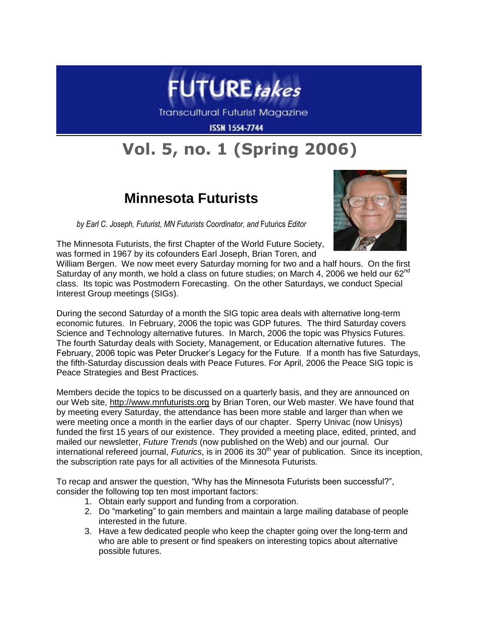

Transcultural Futurist Magazine

**ISSN 1554-7744** 

## **Vol. 5, no. 1 (Spring 2006)**

## **Minnesota Futurists**

*by Earl C. Joseph, Futurist, MN Futurists Coordinator, and* Futurics *Editor*





William Bergen. We now meet every Saturday morning for two and a half hours. On the first Saturday of any month, we hold a class on future studies; on March 4, 2006 we held our 62<sup>nd</sup> class. Its topic was Postmodern Forecasting. On the other Saturdays, we conduct Special Interest Group meetings (SIGs).

During the second Saturday of a month the SIG topic area deals with alternative long-term economic futures. In February, 2006 the topic was GDP futures. The third Saturday covers Science and Technology alternative futures. In March, 2006 the topic was Physics Futures. The fourth Saturday deals with Society, Management, or Education alternative futures. The February, 2006 topic was Peter Drucker's Legacy for the Future. If a month has five Saturdays, the fifth-Saturday discussion deals with Peace Futures. For April, 2006 the Peace SIG topic is Peace Strategies and Best Practices.

Members decide the topics to be discussed on a quarterly basis, and they are announced on our Web site, [http://www.mnfuturists.org](http://www.mnfuturists.org/) by Brian Toren, our Web master. We have found that by meeting every Saturday, the attendance has been more stable and larger than when we were meeting once a month in the earlier days of our chapter. Sperry Univac (now Unisys) funded the first 15 years of our existence. They provided a meeting place, edited, printed, and mailed our newsletter, *Future Trends* (now published on the Web) and our journal. Our international refereed journal, *Futurics*, is in 2006 its 30<sup>th</sup> year of publication. Since its inception, the subscription rate pays for all activities of the Minnesota Futurists.

To recap and answer the question, "Why has the Minnesota Futurists been successful?", consider the following top ten most important factors:

- 1. Obtain early support and funding from a corporation.
- 2. Do "marketing" to gain members and maintain a large mailing database of people interested in the future.
- 3. Have a few dedicated people who keep the chapter going over the long-term and who are able to present or find speakers on interesting topics about alternative possible futures.